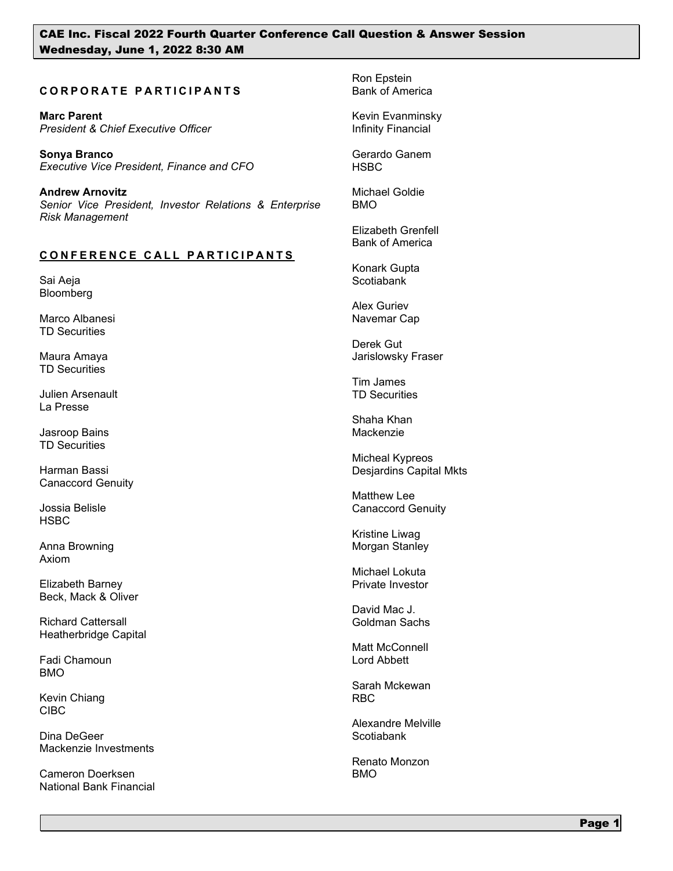## **CORPORATE PARTICIPANTS**

**Marc Parent** *President & Chief Executive Officer* 

**Sonya Branco** *Executive Vice President, Finance and CFO*

**Andrew Arnovitz** *Senior Vice President, Investor Relations & Enterprise Risk Management*

### **CONFERENCE CALL PARTICIPANTS**

Sai Aeja Bloomberg

Marco Albanesi TD Securities

Maura Amaya TD Securities

Julien Arsenault La Presse

Jasroop Bains TD Securities

Harman Bassi Canaccord Genuity

Jossia Belisle **HSBC** 

Anna Browning Axiom

Elizabeth Barney Beck, Mack & Oliver

Richard Cattersall Heatherbridge Capital

Fadi Chamoun BMO

Kevin Chiang CIBC

Dina DeGeer Mackenzie Investments

Cameron Doerksen National Bank Financial Ron Epstein Bank of America

Kevin Evanminsky Infinity Financial

Gerardo Ganem HSBC

Michael Goldie BMO

Elizabeth Grenfell Bank of America

Konark Gupta **Scotiabank** 

Alex Guriev Navemar Cap

Derek Gut Jarislowsky Fraser

Tim James TD Securities

Shaha Khan Mackenzie

Micheal Kypreos Desjardins Capital Mkts

Matthew Lee Canaccord Genuity

Kristine Liwag Morgan Stanley

Michael Lokuta Private Investor

David Mac J. Goldman Sachs

Matt McConnell Lord Abbett

Sarah Mckewan RBC

Alexandre Melville Scotiabank

Renato Monzon BMO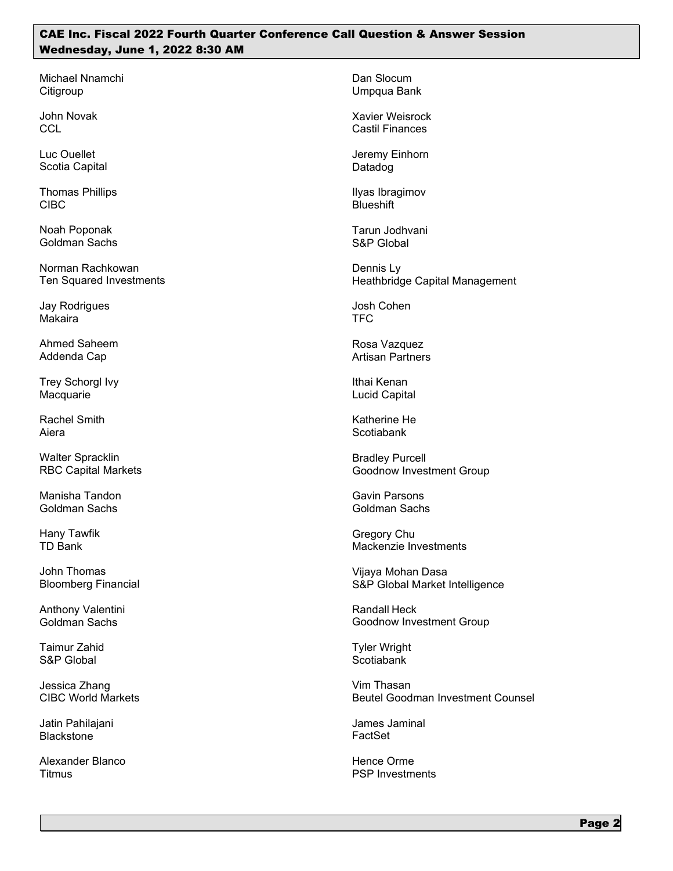Michael Nnamchi **Citigroup** 

John Novak **CCL** 

Luc Ouellet Scotia Capital

Thomas Phillips CIBC

Noah Poponak Goldman Sachs

Norman Rachkowan Ten Squared Investments

Jay Rodrigues Makaira

Ahmed Saheem Addenda Cap

Trey Schorgl Ivy Macquarie

Rachel Smith Aiera

Walter Spracklin RBC Capital Markets

Manisha Tandon Goldman Sachs

Hany Tawfik TD Bank

John Thomas Bloomberg Financial

Anthony Valentini Goldman Sachs

Taimur Zahid S&P Global

Jessica Zhang CIBC World Markets

Jatin Pahilajani **Blackstone** 

Alexander Blanco **Titmus** 

Dan Slocum Umpqua Bank

Xavier Weisrock Castil Finances

Jeremy Einhorn Datadog

Ilyas Ibragimov **Blueshift** 

Tarun Jodhvani S&P Global

Dennis Ly Heathbridge Capital Management

Josh Cohen TFC

Rosa Vazquez Artisan Partners

Ithai Kenan Lucid Capital

Katherine He **Scotiabank** 

Bradley Purcell Goodnow Investment Group

Gavin Parsons Goldman Sachs

Gregory Chu Mackenzie Investments

Vijaya Mohan Dasa S&P Global Market Intelligence

Randall Heck Goodnow Investment Group

Tyler Wright **Scotiabank** 

Vim Thasan Beutel Goodman Investment Counsel

James Jaminal FactSet

Hence Orme PSP Investments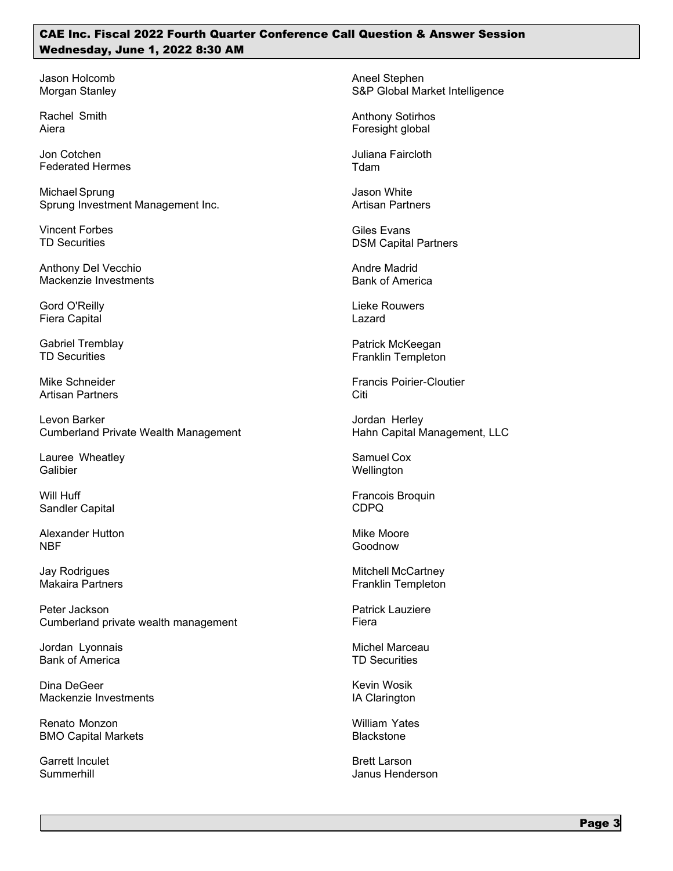Jason Holcomb Morgan Stanley

Rachel Smith Aiera

Jon Cotchen Federated Hermes

MichaelSprung Sprung Investment Management Inc.

Vincent Forbes TD Securities

Anthony Del Vecchio Mackenzie Investments

Gord O'Reilly Fiera Capital

Gabriel Tremblay TD Securities

Mike Schneider Artisan Partners

Levon Barker Cumberland Private Wealth Management

Lauree Wheatley **Galibier** 

Will Huff Sandler Capital

Alexander Hutton NBF

Jay Rodrigues Makaira Partners

Peter Jackson Cumberland private wealth management

Jordan Lyonnais Bank of America

Dina DeGeer Mackenzie Investments

Renato Monzon BMO Capital Markets

Garrett Inculet Summerhill

Aneel Stephen S&P Global Market Intelligence

Anthony Sotirhos Foresight global

Juliana Faircloth Tdam

Jason White Artisan Partners

Giles Evans DSM Capital Partners

Andre Madrid Bank of America

Lieke Rouwers Lazard

Patrick McKeegan Franklin Templeton

Francis Poirier-Cloutier Citi

Jordan Herley Hahn Capital Management, LLC

Samuel Cox **Wellington** 

Francois Broquin CDPQ

Mike Moore Goodnow

Mitchell McCartney Franklin Templeton

Patrick Lauziere Fiera

Michel Marceau TD Securities

Kevin Wosik IA Clarington

William Yates **Blackstone** 

Brett Larson Janus Henderson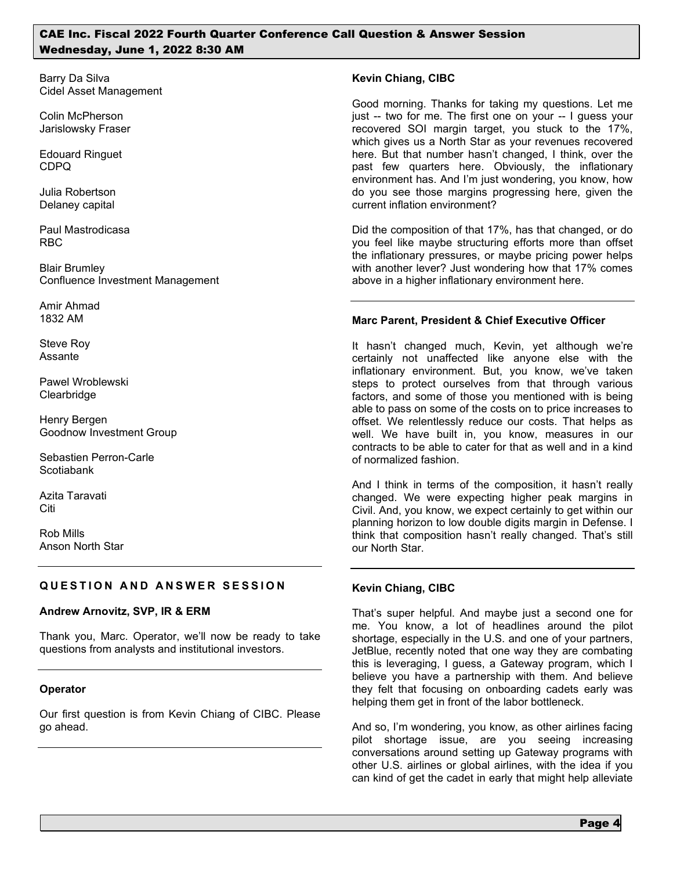Barry Da Silva Cidel Asset Management

Colin McPherson Jarislowsky Fraser

Edouard Ringuet CDPQ

Julia Robertson Delaney capital

Paul Mastrodicasa RBC

Blair Brumley Confluence Investment Management

Amir Ahmad 1832 AM

Steve Roy Assante

Pawel Wroblewski **Clearbridge** 

Henry Bergen Goodnow Investment Group

Sebastien Perron-Carle Scotiabank

Azita Taravati Citi

Rob Mills Anson North Star

# **QUESTION AND ANSWER SESSION**

## **Andrew Arnovitz, SVP, IR & ERM**

Thank you, Marc. Operator, we'll now be ready to take questions from analysts and institutional investors.

## **Operator**

Our first question is from Kevin Chiang of CIBC. Please go ahead.

### **Kevin Chiang, CIBC**

Good morning. Thanks for taking my questions. Let me just -- two for me. The first one on your -- I guess your recovered SOI margin target, you stuck to the 17%, which gives us a North Star as your revenues recovered here. But that number hasn't changed, I think, over the past few quarters here. Obviously, the inflationary environment has. And I'm just wondering, you know, how do you see those margins progressing here, given the current inflation environment?

Did the composition of that 17%, has that changed, or do you feel like maybe structuring efforts more than offset the inflationary pressures, or maybe pricing power helps with another lever? Just wondering how that 17% comes above in a higher inflationary environment here.

## **Marc Parent, President & Chief Executive Officer**

It hasn't changed much, Kevin, yet although we're certainly not unaffected like anyone else with the inflationary environment. But, you know, we've taken steps to protect ourselves from that through various factors, and some of those you mentioned with is being able to pass on some of the costs on to price increases to offset. We relentlessly reduce our costs. That helps as well. We have built in, you know, measures in our contracts to be able to cater for that as well and in a kind of normalized fashion.

And I think in terms of the composition, it hasn't really changed. We were expecting higher peak margins in Civil. And, you know, we expect certainly to get within our planning horizon to low double digits margin in Defense. I think that composition hasn't really changed. That's still our North Star.

## **Kevin Chiang, CIBC**

That's super helpful. And maybe just a second one for me. You know, a lot of headlines around the pilot shortage, especially in the U.S. and one of your partners, JetBlue, recently noted that one way they are combating this is leveraging, I guess, a Gateway program, which I believe you have a partnership with them. And believe they felt that focusing on onboarding cadets early was helping them get in front of the labor bottleneck.

And so, I'm wondering, you know, as other airlines facing pilot shortage issue, are you seeing increasing conversations around setting up Gateway programs with other U.S. airlines or global airlines, with the idea if you can kind of get the cadet in early that might help alleviate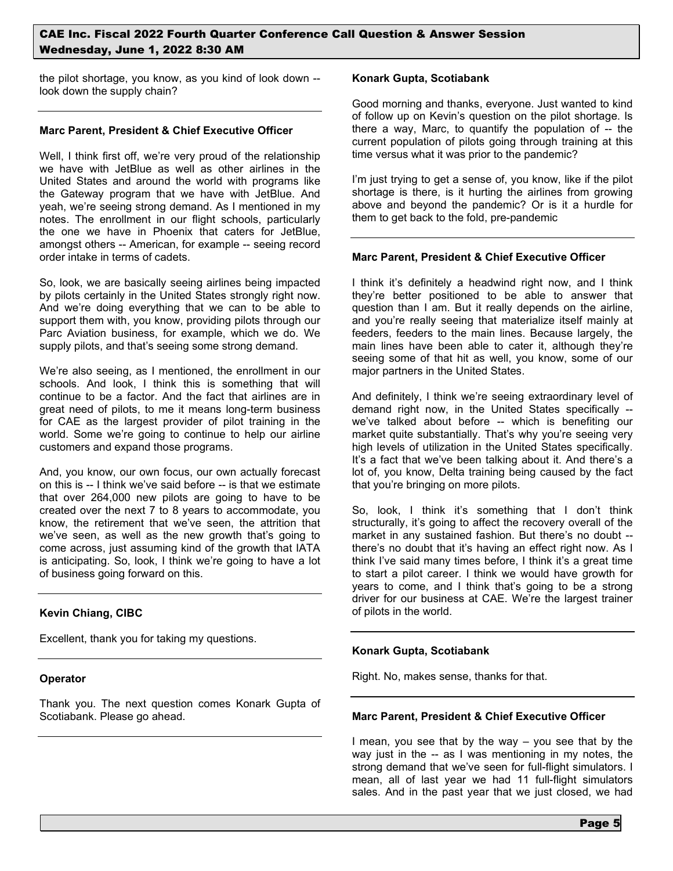the pilot shortage, you know, as you kind of look down - look down the supply chain?

#### **Marc Parent, President & Chief Executive Officer**

Well, I think first off, we're very proud of the relationship we have with JetBlue as well as other airlines in the United States and around the world with programs like the Gateway program that we have with JetBlue. And yeah, we're seeing strong demand. As I mentioned in my notes. The enrollment in our flight schools, particularly the one we have in Phoenix that caters for JetBlue, amongst others -- American, for example -- seeing record order intake in terms of cadets.

So, look, we are basically seeing airlines being impacted by pilots certainly in the United States strongly right now. And we're doing everything that we can to be able to support them with, you know, providing pilots through our Parc Aviation business, for example, which we do. We supply pilots, and that's seeing some strong demand.

We're also seeing, as I mentioned, the enrollment in our schools. And look, I think this is something that will continue to be a factor. And the fact that airlines are in great need of pilots, to me it means long-term business for CAE as the largest provider of pilot training in the world. Some we're going to continue to help our airline customers and expand those programs.

And, you know, our own focus, our own actually forecast on this is -- I think we've said before -- is that we estimate that over 264,000 new pilots are going to have to be created over the next 7 to 8 years to accommodate, you know, the retirement that we've seen, the attrition that we've seen, as well as the new growth that's going to come across, just assuming kind of the growth that IATA is anticipating. So, look, I think we're going to have a lot of business going forward on this.

## **Kevin Chiang, CIBC**

Excellent, thank you for taking my questions.

## **Operator**

Thank you. The next question comes Konark Gupta of Scotiabank. Please go ahead.

#### **Konark Gupta, Scotiabank**

Good morning and thanks, everyone. Just wanted to kind of follow up on Kevin's question on the pilot shortage. Is there a way, Marc, to quantify the population of -- the current population of pilots going through training at this time versus what it was prior to the pandemic?

I'm just trying to get a sense of, you know, like if the pilot shortage is there, is it hurting the airlines from growing above and beyond the pandemic? Or is it a hurdle for them to get back to the fold, pre-pandemic

### **Marc Parent, President & Chief Executive Officer**

I think it's definitely a headwind right now, and I think they're better positioned to be able to answer that question than I am. But it really depends on the airline, and you're really seeing that materialize itself mainly at feeders, feeders to the main lines. Because largely, the main lines have been able to cater it, although they're seeing some of that hit as well, you know, some of our major partners in the United States.

And definitely, I think we're seeing extraordinary level of demand right now, in the United States specifically - we've talked about before -- which is benefiting our market quite substantially. That's why you're seeing very high levels of utilization in the United States specifically. It's a fact that we've been talking about it. And there's a lot of, you know, Delta training being caused by the fact that you're bringing on more pilots.

So, look, I think it's something that I don't think structurally, it's going to affect the recovery overall of the market in any sustained fashion. But there's no doubt - there's no doubt that it's having an effect right now. As I think I've said many times before, I think it's a great time to start a pilot career. I think we would have growth for years to come, and I think that's going to be a strong driver for our business at CAE. We're the largest trainer of pilots in the world.

## **Konark Gupta, Scotiabank**

Right. No, makes sense, thanks for that.

#### **Marc Parent, President & Chief Executive Officer**

I mean, you see that by the way – you see that by the way just in the -- as I was mentioning in my notes, the strong demand that we've seen for full-flight simulators. I mean, all of last year we had 11 full-flight simulators sales. And in the past year that we just closed, we had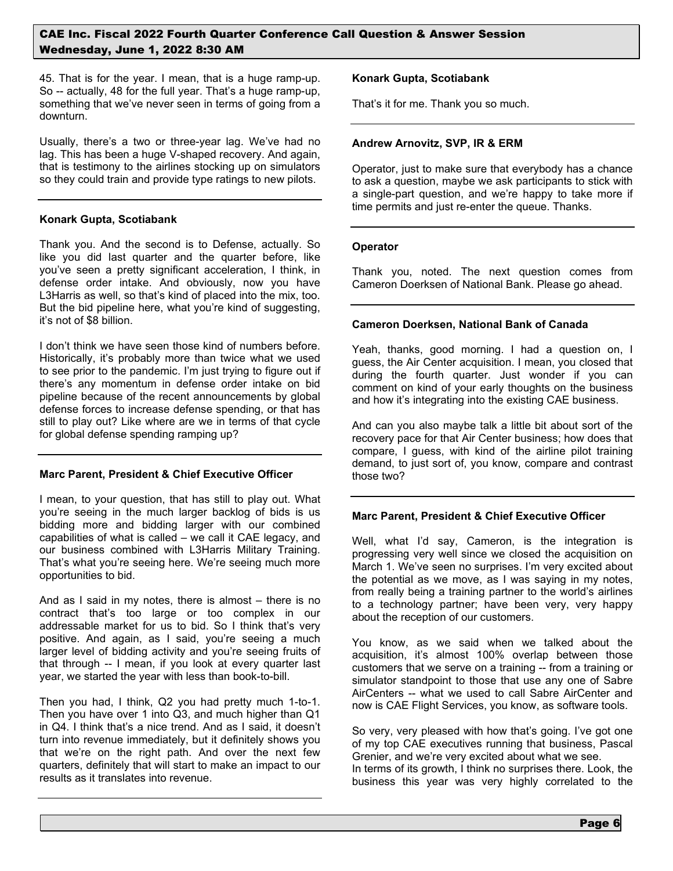45. That is for the year. I mean, that is a huge ramp-up. So -- actually, 48 for the full year. That's a huge ramp-up, something that we've never seen in terms of going from a downturn.

Usually, there's a two or three-year lag. We've had no lag. This has been a huge V-shaped recovery. And again, that is testimony to the airlines stocking up on simulators so they could train and provide type ratings to new pilots.

### **Konark Gupta, Scotiabank**

Thank you. And the second is to Defense, actually. So like you did last quarter and the quarter before, like you've seen a pretty significant acceleration, I think, in defense order intake. And obviously, now you have L3Harris as well, so that's kind of placed into the mix, too. But the bid pipeline here, what you're kind of suggesting, it's not of \$8 billion.

I don't think we have seen those kind of numbers before. Historically, it's probably more than twice what we used to see prior to the pandemic. I'm just trying to figure out if there's any momentum in defense order intake on bid pipeline because of the recent announcements by global defense forces to increase defense spending, or that has still to play out? Like where are we in terms of that cycle for global defense spending ramping up?

## **Marc Parent, President & Chief Executive Officer**

I mean, to your question, that has still to play out. What you're seeing in the much larger backlog of bids is us bidding more and bidding larger with our combined capabilities of what is called – we call it CAE legacy, and our business combined with L3Harris Military Training. That's what you're seeing here. We're seeing much more opportunities to bid.

And as I said in my notes, there is almost – there is no contract that's too large or too complex in our addressable market for us to bid. So I think that's very positive. And again, as I said, you're seeing a much larger level of bidding activity and you're seeing fruits of that through -- I mean, if you look at every quarter last year, we started the year with less than book-to-bill.

Then you had, I think, Q2 you had pretty much 1-to-1. Then you have over 1 into Q3, and much higher than Q1 in Q4. I think that's a nice trend. And as I said, it doesn't turn into revenue immediately, but it definitely shows you that we're on the right path. And over the next few quarters, definitely that will start to make an impact to our results as it translates into revenue.

### **Konark Gupta, Scotiabank**

That's it for me. Thank you so much.

#### **Andrew Arnovitz, SVP, IR & ERM**

Operator, just to make sure that everybody has a chance to ask a question, maybe we ask participants to stick with a single-part question, and we're happy to take more if time permits and just re-enter the queue. Thanks.

#### **Operator**

Thank you, noted. The next question comes from Cameron Doerksen of National Bank. Please go ahead.

### **Cameron Doerksen, National Bank of Canada**

Yeah, thanks, good morning. I had a question on, I guess, the Air Center acquisition. I mean, you closed that during the fourth quarter. Just wonder if you can comment on kind of your early thoughts on the business and how it's integrating into the existing CAE business.

And can you also maybe talk a little bit about sort of the recovery pace for that Air Center business; how does that compare, I guess, with kind of the airline pilot training demand, to just sort of, you know, compare and contrast those two?

## **Marc Parent, President & Chief Executive Officer**

Well, what I'd say, Cameron, is the integration is progressing very well since we closed the acquisition on March 1. We've seen no surprises. I'm very excited about the potential as we move, as I was saying in my notes, from really being a training partner to the world's airlines to a technology partner; have been very, very happy about the reception of our customers.

You know, as we said when we talked about the acquisition, it's almost 100% overlap between those customers that we serve on a training -- from a training or simulator standpoint to those that use any one of Sabre AirCenters -- what we used to call Sabre AirCenter and now is CAE Flight Services, you know, as software tools.

So very, very pleased with how that's going. I've got one of my top CAE executives running that business, Pascal Grenier, and we're very excited about what we see. In terms of its growth, I think no surprises there. Look, the business this year was very highly correlated to the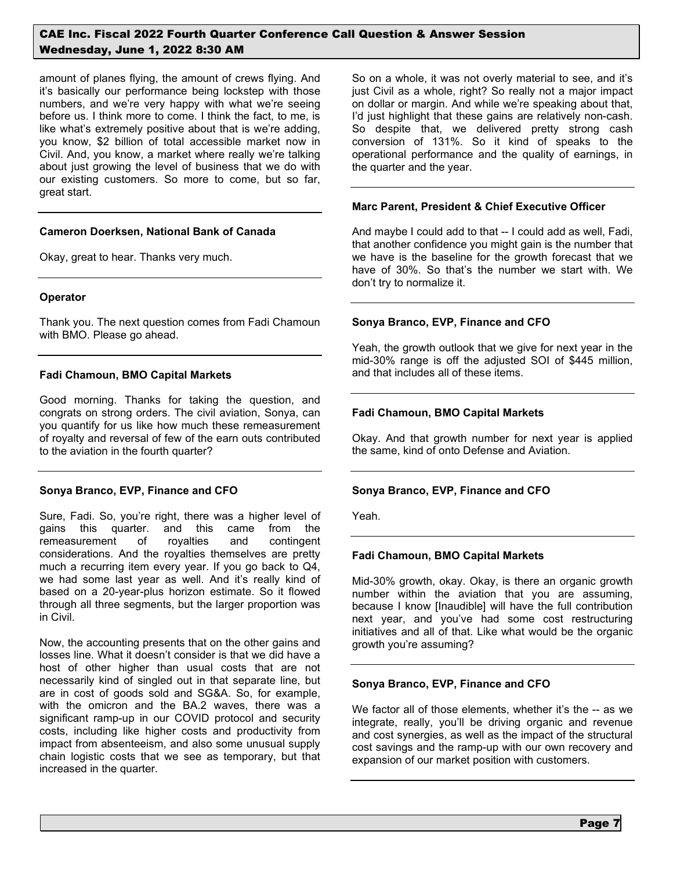amount of planes flying, the amount of crews flying. And it's basically our performance being lockstep with those numbers, and we're very happy with what we're seeing before us. I think more to come. I think the fact, to me, is like what's extremely positive about that is we're adding, you know, \$2 billion of total accessible market now in Civil. And, you know, a market where really we're talking about just growing the level of business that we do with our existing customers. So more to come, but so far, great start.

### **Cameron Doerksen, National Bank of Canada**

Okay, great to hear. Thanks very much.

### **Operator**

Thank you. The next question comes from Fadi Chamoun with BMO. Please go ahead.

### **Fadi Chamoun, BMO Capital Markets**

Good morning. Thanks for taking the question, and congrats on strong orders. The civil aviation, Sonya, can you quantify for us like how much these remeasurement of royalty and reversal of few of the earn outs contributed to the aviation in the fourth quarter?

## **Sonya Branco, EVP, Finance and CFO**

Sure, Fadi. So, you're right, there was a higher level of gains this quarter. and this came from the remeasurement of royalties and contingent considerations. And the royalties themselves are pretty much a recurring item every year. If you go back to Q4, we had some last year as well. And it's really kind of based on a 20-year-plus horizon estimate. So it flowed through all three segments, but the larger proportion was in Civil.

Now, the accounting presents that on the other gains and losses line. What it doesn't consider is that we did have a host of other higher than usual costs that are not necessarily kind of singled out in that separate line, but are in cost of goods sold and SG&A. So, for example, with the omicron and the BA.2 waves, there was a significant ramp-up in our COVID protocol and security costs, including like higher costs and productivity from impact from absenteeism, and also some unusual supply chain logistic costs that we see as temporary, but that increased in the quarter.

So on a whole, it was not overly material to see, and it's just Civil as a whole, right? So really not a major impact on dollar or margin. And while we're speaking about that, I'd just highlight that these gains are relatively non-cash. So despite that, we delivered pretty strong cash conversion of 131%. So it kind of speaks to the operational performance and the quality of earnings, in the quarter and the year.

### **Marc Parent, President & Chief Executive Officer**

And maybe I could add to that -- I could add as well, Fadi, that another confidence you might gain is the number that we have is the baseline for the growth forecast that we have of 30%. So that's the number we start with. We don't try to normalize it.

### **Sonya Branco, EVP, Finance and CFO**

Yeah, the growth outlook that we give for next year in the mid-30% range is off the adjusted SOI of \$445 million, and that includes all of these items.

### **Fadi Chamoun, BMO Capital Markets**

Okay. And that growth number for next year is applied the same, kind of onto Defense and Aviation.

## **Sonya Branco, EVP, Finance and CFO**

Yeah.

## **Fadi Chamoun, BMO Capital Markets**

Mid-30% growth, okay. Okay, is there an organic growth number within the aviation that you are assuming, because I know [Inaudible] will have the full contribution next year, and you've had some cost restructuring initiatives and all of that. Like what would be the organic growth you're assuming?

## **Sonya Branco, EVP, Finance and CFO**

We factor all of those elements, whether it's the -- as we integrate, really, you'll be driving organic and revenue and cost synergies, as well as the impact of the structural cost savings and the ramp-up with our own recovery and expansion of our market position with customers.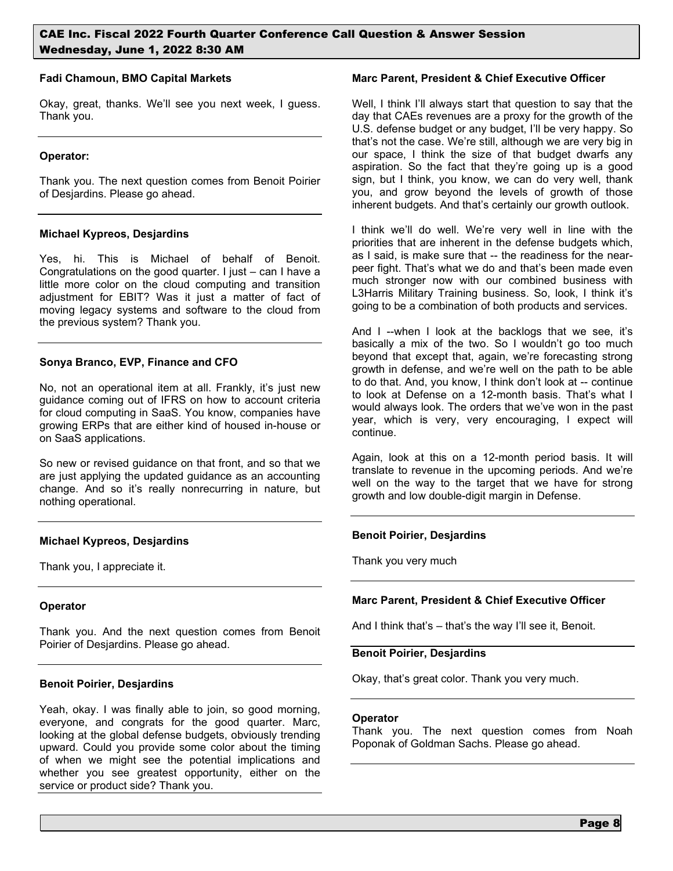#### **Fadi Chamoun, BMO Capital Markets**

Okay, great, thanks. We'll see you next week, I guess. Thank you.

## **Operator:**

Thank you. The next question comes from Benoit Poirier of Desjardins. Please go ahead.

## **Michael Kypreos, Desjardins**

Yes, hi. This is Michael of behalf of Benoit. Congratulations on the good quarter. I just – can I have a little more color on the cloud computing and transition adjustment for EBIT? Was it just a matter of fact of moving legacy systems and software to the cloud from the previous system? Thank you.

## **Sonya Branco, EVP, Finance and CFO**

No, not an operational item at all. Frankly, it's just new guidance coming out of IFRS on how to account criteria for cloud computing in SaaS. You know, companies have growing ERPs that are either kind of housed in-house or on SaaS applications.

So new or revised guidance on that front, and so that we are just applying the updated guidance as an accounting change. And so it's really nonrecurring in nature, but nothing operational.

## **Michael Kypreos, Desjardins**

Thank you, I appreciate it.

## **Operator**

Thank you. And the next question comes from Benoit Poirier of Desjardins. Please go ahead.

## **Benoit Poirier, Desjardins**

Yeah, okay. I was finally able to join, so good morning, everyone, and congrats for the good quarter. Marc, looking at the global defense budgets, obviously trending upward. Could you provide some color about the timing of when we might see the potential implications and whether you see greatest opportunity, either on the service or product side? Thank you.

### **Marc Parent, President & Chief Executive Officer**

Well, I think I'll always start that question to say that the day that CAEs revenues are a proxy for the growth of the U.S. defense budget or any budget, I'll be very happy. So that's not the case. We're still, although we are very big in our space, I think the size of that budget dwarfs any aspiration. So the fact that they're going up is a good sign, but I think, you know, we can do very well, thank you, and grow beyond the levels of growth of those inherent budgets. And that's certainly our growth outlook.

I think we'll do well. We're very well in line with the priorities that are inherent in the defense budgets which, as I said, is make sure that -- the readiness for the nearpeer fight. That's what we do and that's been made even much stronger now with our combined business with L3Harris Military Training business. So, look, I think it's going to be a combination of both products and services.

And I --when I look at the backlogs that we see, it's basically a mix of the two. So I wouldn't go too much beyond that except that, again, we're forecasting strong growth in defense, and we're well on the path to be able to do that. And, you know, I think don't look at -- continue to look at Defense on a 12-month basis. That's what I would always look. The orders that we've won in the past year, which is very, very encouraging, I expect will continue.

Again, look at this on a 12-month period basis. It will translate to revenue in the upcoming periods. And we're well on the way to the target that we have for strong growth and low double-digit margin in Defense.

## **Benoit Poirier, Desjardins**

Thank you very much

## **Marc Parent, President & Chief Executive Officer**

And I think that's – that's the way I'll see it, Benoit.

### **Benoit Poirier, Desjardins**

Okay, that's great color. Thank you very much.

#### **Operator**

Thank you. The next question comes from Noah Poponak of Goldman Sachs. Please go ahead.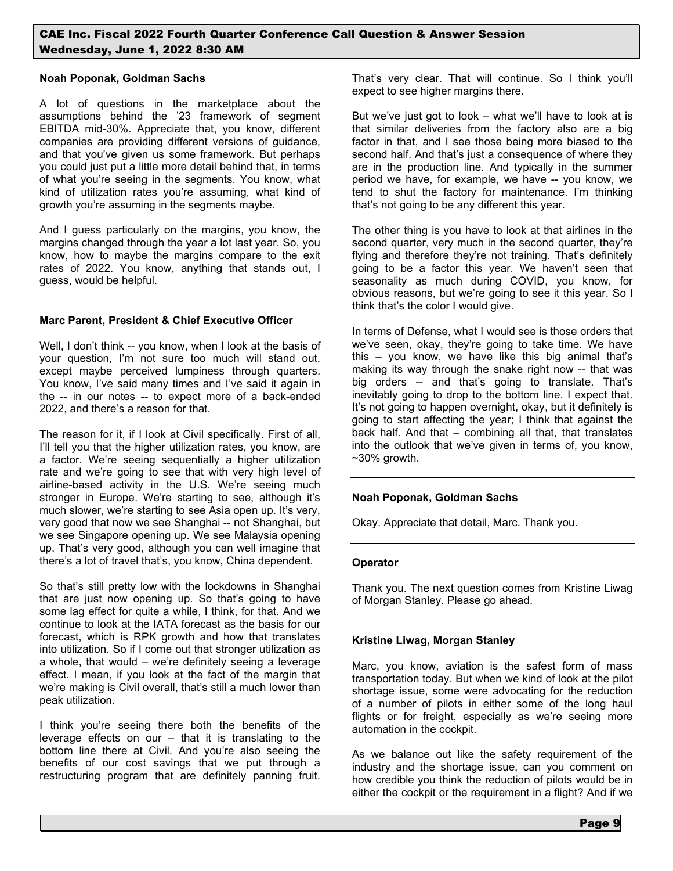### **Noah Poponak, Goldman Sachs**

A lot of questions in the marketplace about the assumptions behind the '23 framework of segment EBITDA mid-30%. Appreciate that, you know, different companies are providing different versions of guidance, and that you've given us some framework. But perhaps you could just put a little more detail behind that, in terms of what you're seeing in the segments. You know, what kind of utilization rates you're assuming, what kind of growth you're assuming in the segments maybe.

And I guess particularly on the margins, you know, the margins changed through the year a lot last year. So, you know, how to maybe the margins compare to the exit rates of 2022. You know, anything that stands out, I guess, would be helpful.

## **Marc Parent, President & Chief Executive Officer**

Well, I don't think -- you know, when I look at the basis of your question, I'm not sure too much will stand out, except maybe perceived lumpiness through quarters. You know, I've said many times and I've said it again in the -- in our notes -- to expect more of a back-ended 2022, and there's a reason for that.

The reason for it, if I look at Civil specifically. First of all, I'll tell you that the higher utilization rates, you know, are a factor. We're seeing sequentially a higher utilization rate and we're going to see that with very high level of airline-based activity in the U.S. We're seeing much stronger in Europe. We're starting to see, although it's much slower, we're starting to see Asia open up. It's very, very good that now we see Shanghai -- not Shanghai, but we see Singapore opening up. We see Malaysia opening up. That's very good, although you can well imagine that there's a lot of travel that's, you know, China dependent.

So that's still pretty low with the lockdowns in Shanghai that are just now opening up. So that's going to have some lag effect for quite a while, I think, for that. And we continue to look at the IATA forecast as the basis for our forecast, which is RPK growth and how that translates into utilization. So if I come out that stronger utilization as a whole, that would – we're definitely seeing a leverage effect. I mean, if you look at the fact of the margin that we're making is Civil overall, that's still a much lower than peak utilization.

I think you're seeing there both the benefits of the leverage effects on our – that it is translating to the bottom line there at Civil. And you're also seeing the benefits of our cost savings that we put through a restructuring program that are definitely panning fruit. That's very clear. That will continue. So I think you'll expect to see higher margins there.

But we've just got to look – what we'll have to look at is that similar deliveries from the factory also are a big factor in that, and I see those being more biased to the second half. And that's just a consequence of where they are in the production line. And typically in the summer period we have, for example, we have -- you know, we tend to shut the factory for maintenance. I'm thinking that's not going to be any different this year.

The other thing is you have to look at that airlines in the second quarter, very much in the second quarter, they're flying and therefore they're not training. That's definitely going to be a factor this year. We haven't seen that seasonality as much during COVID, you know, for obvious reasons, but we're going to see it this year. So I think that's the color I would give.

In terms of Defense, what I would see is those orders that we've seen, okay, they're going to take time. We have this – you know, we have like this big animal that's making its way through the snake right now -- that was big orders -- and that's going to translate. That's inevitably going to drop to the bottom line. I expect that. It's not going to happen overnight, okay, but it definitely is going to start affecting the year; I think that against the back half. And that – combining all that, that translates into the outlook that we've given in terms of, you know,  $~10\%$  growth.

## **Noah Poponak, Goldman Sachs**

Okay. Appreciate that detail, Marc. Thank you.

## **Operator**

Thank you. The next question comes from Kristine Liwag of Morgan Stanley. Please go ahead.

## **Kristine Liwag, Morgan Stanley**

Marc, you know, aviation is the safest form of mass transportation today. But when we kind of look at the pilot shortage issue, some were advocating for the reduction of a number of pilots in either some of the long haul flights or for freight, especially as we're seeing more automation in the cockpit.

As we balance out like the safety requirement of the industry and the shortage issue, can you comment on how credible you think the reduction of pilots would be in either the cockpit or the requirement in a flight? And if we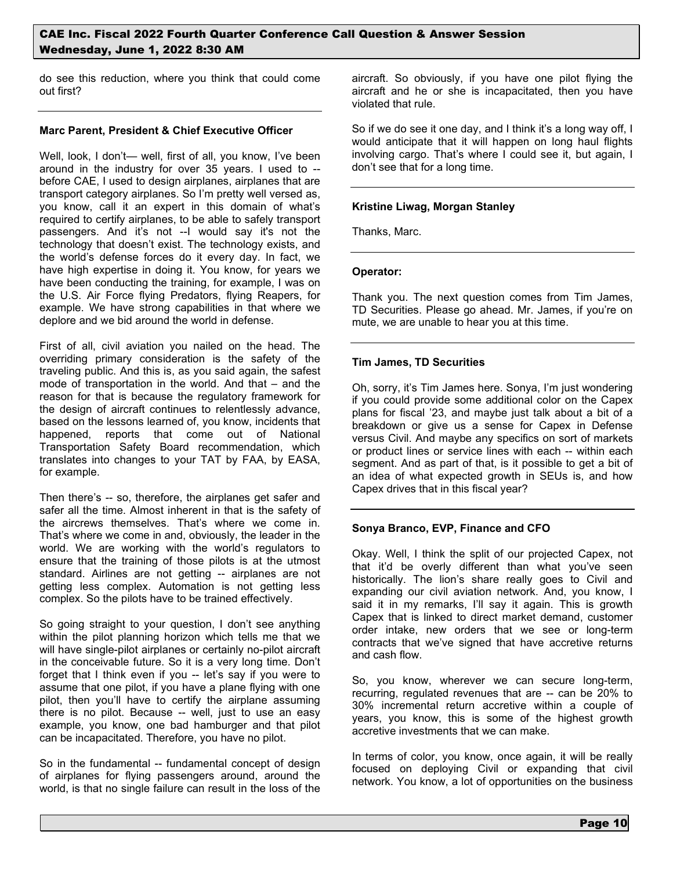do see this reduction, where you think that could come out first?

### **Marc Parent, President & Chief Executive Officer**

Well, look, I don't— well, first of all, you know, I've been around in the industry for over 35 years. I used to - before CAE, I used to design airplanes, airplanes that are transport category airplanes. So I'm pretty well versed as, you know, call it an expert in this domain of what's required to certify airplanes, to be able to safely transport passengers. And it's not --I would say it's not the technology that doesn't exist. The technology exists, and the world's defense forces do it every day. In fact, we have high expertise in doing it. You know, for years we have been conducting the training, for example, I was on the U.S. Air Force flying Predators, flying Reapers, for example. We have strong capabilities in that where we deplore and we bid around the world in defense.

First of all, civil aviation you nailed on the head. The overriding primary consideration is the safety of the traveling public. And this is, as you said again, the safest mode of transportation in the world. And that – and the reason for that is because the regulatory framework for the design of aircraft continues to relentlessly advance, based on the lessons learned of, you know, incidents that happened, reports that come out of National Transportation Safety Board recommendation, which translates into changes to your TAT by FAA, by EASA, for example.

Then there's -- so, therefore, the airplanes get safer and safer all the time. Almost inherent in that is the safety of the aircrews themselves. That's where we come in. That's where we come in and, obviously, the leader in the world. We are working with the world's regulators to ensure that the training of those pilots is at the utmost standard. Airlines are not getting -- airplanes are not getting less complex. Automation is not getting less complex. So the pilots have to be trained effectively.

So going straight to your question, I don't see anything within the pilot planning horizon which tells me that we will have single-pilot airplanes or certainly no-pilot aircraft in the conceivable future. So it is a very long time. Don't forget that I think even if you -- let's say if you were to assume that one pilot, if you have a plane flying with one pilot, then you'll have to certify the airplane assuming there is no pilot. Because -- well, just to use an easy example, you know, one bad hamburger and that pilot can be incapacitated. Therefore, you have no pilot.

So in the fundamental -- fundamental concept of design of airplanes for flying passengers around, around the world, is that no single failure can result in the loss of the aircraft. So obviously, if you have one pilot flying the aircraft and he or she is incapacitated, then you have violated that rule.

So if we do see it one day, and I think it's a long way off, I would anticipate that it will happen on long haul flights involving cargo. That's where I could see it, but again, I don't see that for a long time.

### **Kristine Liwag, Morgan Stanley**

Thanks, Marc.

#### **Operator:**

Thank you. The next question comes from Tim James, TD Securities. Please go ahead. Mr. James, if you're on mute, we are unable to hear you at this time.

### **Tim James, TD Securities**

Oh, sorry, it's Tim James here. Sonya, I'm just wondering if you could provide some additional color on the Capex plans for fiscal '23, and maybe just talk about a bit of a breakdown or give us a sense for Capex in Defense versus Civil. And maybe any specifics on sort of markets or product lines or service lines with each -- within each segment. And as part of that, is it possible to get a bit of an idea of what expected growth in SEUs is, and how Capex drives that in this fiscal year?

#### **Sonya Branco, EVP, Finance and CFO**

Okay. Well, I think the split of our projected Capex, not that it'd be overly different than what you've seen historically. The lion's share really goes to Civil and expanding our civil aviation network. And, you know, I said it in my remarks, I'll say it again. This is growth Capex that is linked to direct market demand, customer order intake, new orders that we see or long-term contracts that we've signed that have accretive returns and cash flow.

So, you know, wherever we can secure long-term, recurring, regulated revenues that are -- can be 20% to 30% incremental return accretive within a couple of years, you know, this is some of the highest growth accretive investments that we can make.

In terms of color, you know, once again, it will be really focused on deploying Civil or expanding that civil network. You know, a lot of opportunities on the business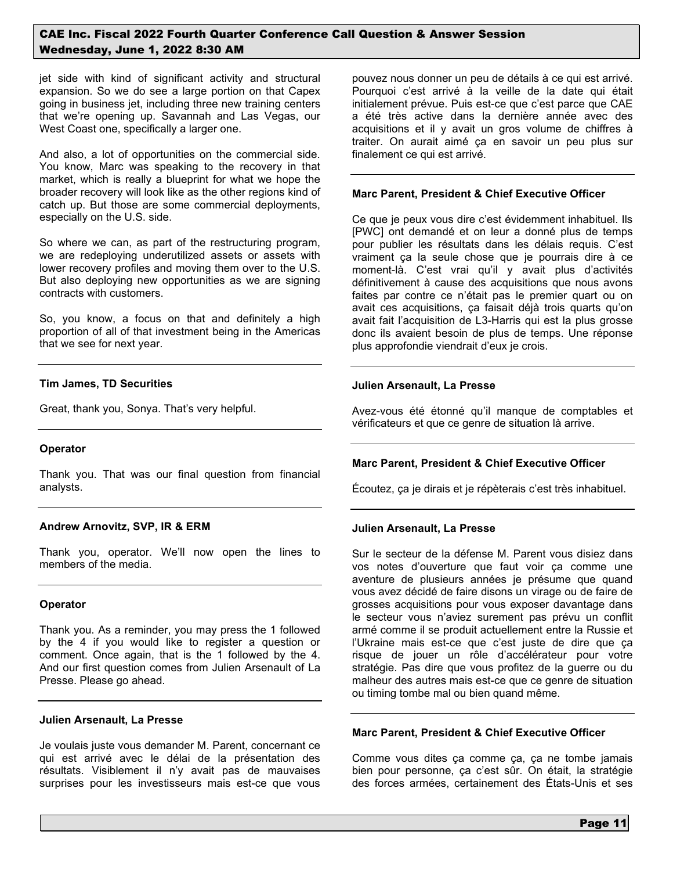jet side with kind of significant activity and structural expansion. So we do see a large portion on that Capex going in business jet, including three new training centers that we're opening up. Savannah and Las Vegas, our West Coast one, specifically a larger one.

And also, a lot of opportunities on the commercial side. You know, Marc was speaking to the recovery in that market, which is really a blueprint for what we hope the broader recovery will look like as the other regions kind of catch up. But those are some commercial deployments, especially on the U.S. side.

So where we can, as part of the restructuring program, we are redeploying underutilized assets or assets with lower recovery profiles and moving them over to the U.S. But also deploying new opportunities as we are signing contracts with customers.

So, you know, a focus on that and definitely a high proportion of all of that investment being in the Americas that we see for next year.

### **Tim James, TD Securities**

Great, thank you, Sonya. That's very helpful.

#### **Operator**

Thank you. That was our final question from financial analysts.

#### **Andrew Arnovitz, SVP, IR & ERM**

Thank you, operator. We'll now open the lines to members of the media.

#### **Operator**

Thank you. As a reminder, you may press the 1 followed by the 4 if you would like to register a question or comment. Once again, that is the 1 followed by the 4. And our first question comes from Julien Arsenault of La Presse. Please go ahead.

#### **Julien Arsenault, La Presse**

Je voulais juste vous demander M. Parent, concernant ce qui est arrivé avec le délai de la présentation des résultats. Visiblement il n'y avait pas de mauvaises surprises pour les investisseurs mais est-ce que vous pouvez nous donner un peu de détails à ce qui est arrivé. Pourquoi c'est arrivé à la veille de la date qui était initialement prévue. Puis est-ce que c'est parce que CAE a été très active dans la dernière année avec des acquisitions et il y avait un gros volume de chiffres à traiter. On aurait aimé ça en savoir un peu plus sur finalement ce qui est arrivé.

### **Marc Parent, President & Chief Executive Officer**

Ce que je peux vous dire c'est évidemment inhabituel. Ils [PWC] ont demandé et on leur a donné plus de temps pour publier les résultats dans les délais requis. C'est vraiment ça la seule chose que je pourrais dire à ce moment-là. C'est vrai qu'il y avait plus d'activités définitivement à cause des acquisitions que nous avons faites par contre ce n'était pas le premier quart ou on avait ces acquisitions, ça faisait déjà trois quarts qu'on avait fait l'acquisition de L3-Harris qui est la plus grosse donc ils avaient besoin de plus de temps. Une réponse plus approfondie viendrait d'eux je crois.

### **Julien Arsenault, La Presse**

Avez-vous été étonné qu'il manque de comptables et vérificateurs et que ce genre de situation là arrive.

## **Marc Parent, President & Chief Executive Officer**

Écoutez, ça je dirais et je répèterais c'est très inhabituel.

## **Julien Arsenault, La Presse**

Sur le secteur de la défense M. Parent vous disiez dans vos notes d'ouverture que faut voir ça comme une aventure de plusieurs années je présume que quand vous avez décidé de faire disons un virage ou de faire de grosses acquisitions pour vous exposer davantage dans le secteur vous n'aviez surement pas prévu un conflit armé comme il se produit actuellement entre la Russie et l'Ukraine mais est-ce que c'est juste de dire que ça risque de jouer un rôle d'accélérateur pour votre stratégie. Pas dire que vous profitez de la guerre ou du malheur des autres mais est-ce que ce genre de situation ou timing tombe mal ou bien quand même.

# **Marc Parent, President & Chief Executive Officer**

Comme vous dites ça comme ça, ça ne tombe jamais bien pour personne, ça c'est sûr. On était, la stratégie des forces armées, certainement des États-Unis et ses